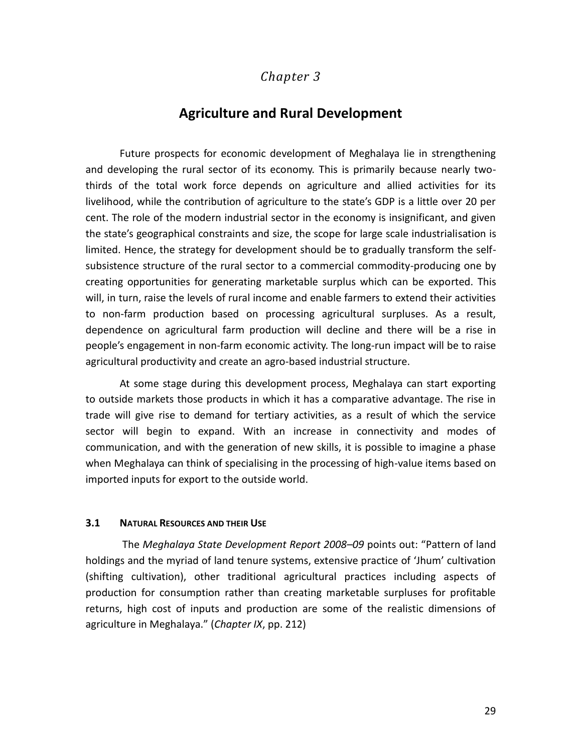## *Chapter 3*

# **Agriculture and Rural Development**

Future prospects for economic development of Meghalaya lie in strengthening and developing the rural sector of its economy. This is primarily because nearly twothirds of the total work force depends on agriculture and allied activities for its livelihood, while the contribution of agriculture to the state's GDP is a little over 20 per cent. The role of the modern industrial sector in the economy is insignificant, and given the state's geographical constraints and size, the scope for large scale industrialisation is limited. Hence, the strategy for development should be to gradually transform the selfsubsistence structure of the rural sector to a commercial commodity-producing one by creating opportunities for generating marketable surplus which can be exported. This will, in turn, raise the levels of rural income and enable farmers to extend their activities to non-farm production based on processing agricultural surpluses. As a result, dependence on agricultural farm production will decline and there will be a rise in people's engagement in non-farm economic activity. The long-run impact will be to raise agricultural productivity and create an agro-based industrial structure.

At some stage during this development process, Meghalaya can start exporting to outside markets those products in which it has a comparative advantage. The rise in trade will give rise to demand for tertiary activities, as a result of which the service sector will begin to expand. With an increase in connectivity and modes of communication, and with the generation of new skills, it is possible to imagine a phase when Meghalaya can think of specialising in the processing of high-value items based on imported inputs for export to the outside world.

#### **3.1 NATURAL RESOURCES AND THEIR USE**

The *Meghalaya State Development Report 2008–09* points out: "Pattern of land holdings and the myriad of land tenure systems, extensive practice of 'Jhum' cultivation (shifting cultivation), other traditional agricultural practices including aspects of production for consumption rather than creating marketable surpluses for profitable returns, high cost of inputs and production are some of the realistic dimensions of agriculture in Meghalaya." (*Chapter IX*, pp. 212)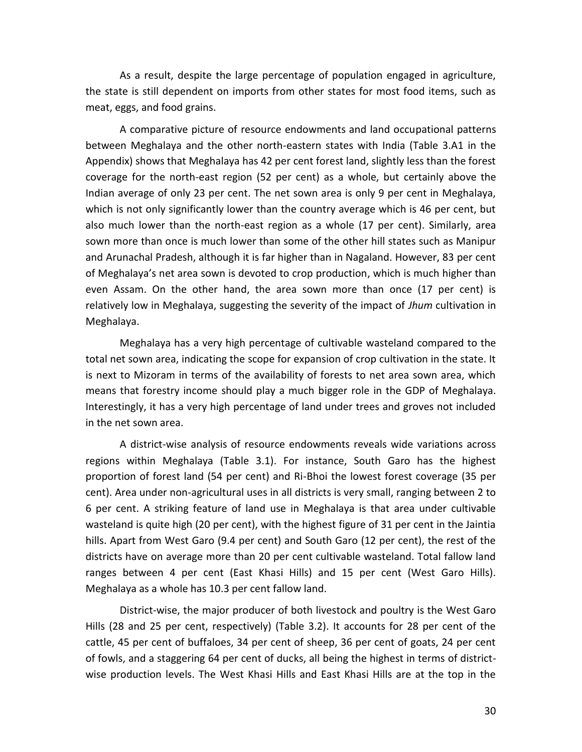As a result, despite the large percentage of population engaged in agriculture, the state is still dependent on imports from other states for most food items, such as meat, eggs, and food grains.

A comparative picture of resource endowments and land occupational patterns between Meghalaya and the other north-eastern states with India (Table 3.A1 in the Appendix) shows that Meghalaya has 42 per cent forest land, slightly less than the forest coverage for the north-east region (52 per cent) as a whole, but certainly above the Indian average of only 23 per cent. The net sown area is only 9 per cent in Meghalaya, which is not only significantly lower than the country average which is 46 per cent, but also much lower than the north-east region as a whole (17 per cent). Similarly, area sown more than once is much lower than some of the other hill states such as Manipur and Arunachal Pradesh, although it is far higher than in Nagaland. However, 83 per cent of Meghalaya's net area sown is devoted to crop production, which is much higher than even Assam. On the other hand, the area sown more than once (17 per cent) is relatively low in Meghalaya, suggesting the severity of the impact of *Jhum* cultivation in Meghalaya.

Meghalaya has a very high percentage of cultivable wasteland compared to the total net sown area, indicating the scope for expansion of crop cultivation in the state. It is next to Mizoram in terms of the availability of forests to net area sown area, which means that forestry income should play a much bigger role in the GDP of Meghalaya. Interestingly, it has a very high percentage of land under trees and groves not included in the net sown area.

A district-wise analysis of resource endowments reveals wide variations across regions within Meghalaya (Table 3.1). For instance, South Garo has the highest proportion of forest land (54 per cent) and Ri-Bhoi the lowest forest coverage (35 per cent). Area under non-agricultural uses in all districts is very small, ranging between 2 to 6 per cent. A striking feature of land use in Meghalaya is that area under cultivable wasteland is quite high (20 per cent), with the highest figure of 31 per cent in the Jaintia hills. Apart from West Garo (9.4 per cent) and South Garo (12 per cent), the rest of the districts have on average more than 20 per cent cultivable wasteland. Total fallow land ranges between 4 per cent (East Khasi Hills) and 15 per cent (West Garo Hills). Meghalaya as a whole has 10.3 per cent fallow land.

District-wise, the major producer of both livestock and poultry is the West Garo Hills (28 and 25 per cent, respectively) (Table 3.2). It accounts for 28 per cent of the cattle, 45 per cent of buffaloes, 34 per cent of sheep, 36 per cent of goats, 24 per cent of fowls, and a staggering 64 per cent of ducks, all being the highest in terms of districtwise production levels. The West Khasi Hills and East Khasi Hills are at the top in the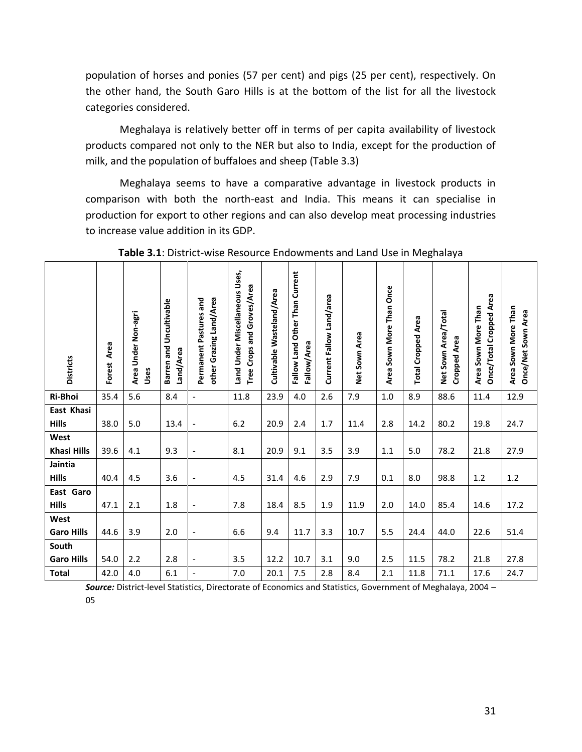population of horses and ponies (57 per cent) and pigs (25 per cent), respectively. On the other hand, the South Garo Hills is at the bottom of the list for all the livestock categories considered.

Meghalaya is relatively better off in terms of per capita availability of livestock products compared not only to the NER but also to India, except for the production of milk, and the population of buffaloes and sheep (Table 3.3)

Meghalaya seems to have a comparative advantage in livestock products in comparison with both the north-east and India. This means it can specialise in production for export to other regions and can also develop meat processing industries to increase value addition in its GDP.

| <b>Districts</b>   | Area<br>Forest | Area Under Non-agri<br>Uses | Barren and Uncultivable<br>Land/Area | other Grazing Land/Area<br>Permanent Pastures and | Land Under Miscellaneous Uses,<br>Tree Crops and Groves/Area | Cultivable Wasteland/Area | Fallow Land Other Than Current<br>Fallow/Area | Current Fallow Land/area | Net Sown Area | Area Sown More Than Once | <b>Total Cropped Area</b> | Net Sown Area/Total<br><b>Cropped Area</b> | Once/Total Cropped Area<br>Area Sown More Than | Area Sown More Than<br>Once/Net Sown Area |
|--------------------|----------------|-----------------------------|--------------------------------------|---------------------------------------------------|--------------------------------------------------------------|---------------------------|-----------------------------------------------|--------------------------|---------------|--------------------------|---------------------------|--------------------------------------------|------------------------------------------------|-------------------------------------------|
| Ri-Bhoi            | 35.4           | 5.6                         | 8.4                                  | $\blacksquare$                                    | 11.8                                                         | 23.9                      | 4.0                                           | 2.6                      | 7.9           | 1.0                      | 8.9                       | 88.6                                       | 11.4                                           | 12.9                                      |
| East Khasi         |                |                             |                                      |                                                   |                                                              |                           |                                               |                          |               |                          |                           |                                            |                                                |                                           |
| <b>Hills</b>       | 38.0           | 5.0                         | 13.4                                 | $\overline{a}$                                    | 6.2                                                          | 20.9                      | 2.4                                           | $1.7\,$                  | 11.4          | 2.8                      | 14.2                      | 80.2                                       | 19.8                                           | 24.7                                      |
| West               |                |                             |                                      |                                                   |                                                              |                           |                                               |                          |               |                          |                           |                                            |                                                |                                           |
| <b>Khasi Hills</b> | 39.6           | 4.1                         | 9.3                                  | $\overline{\phantom{a}}$                          | 8.1                                                          | 20.9                      | 9.1                                           | 3.5                      | 3.9           | 1.1                      | 5.0                       | 78.2                                       | 21.8                                           | 27.9                                      |
| Jaintia            |                |                             |                                      |                                                   |                                                              |                           |                                               |                          |               |                          |                           |                                            |                                                |                                           |
| <b>Hills</b>       | 40.4           | 4.5                         | 3.6                                  | $\overline{\phantom{a}}$                          | 4.5                                                          | 31.4                      | 4.6                                           | 2.9                      | 7.9           | 0.1                      | 8.0                       | 98.8                                       | 1.2                                            | $1.2$                                     |
| East Garo          |                |                             |                                      |                                                   |                                                              |                           |                                               |                          |               |                          |                           |                                            |                                                |                                           |
| <b>Hills</b>       | 47.1           | 2.1                         | 1.8                                  | $\overline{a}$                                    | 7.8                                                          | 18.4                      | 8.5                                           | 1.9                      | 11.9          | 2.0                      | 14.0                      | 85.4                                       | 14.6                                           | 17.2                                      |
| West               |                |                             |                                      |                                                   |                                                              |                           |                                               |                          |               |                          |                           |                                            |                                                |                                           |
| <b>Garo Hills</b>  | 44.6           | 3.9                         | 2.0                                  | $\overline{\phantom{a}}$                          | 6.6                                                          | 9.4                       | 11.7                                          | 3.3                      | 10.7          | 5.5                      | 24.4                      | 44.0                                       | 22.6                                           | 51.4                                      |
| South              |                |                             |                                      |                                                   |                                                              |                           |                                               |                          |               |                          |                           |                                            |                                                |                                           |
| <b>Garo Hills</b>  | 54.0           | 2.2                         | 2.8                                  | $\overline{\phantom{a}}$                          | 3.5                                                          | 12.2                      | 10.7                                          | 3.1                      | 9.0           | 2.5                      | 11.5                      | 78.2                                       | 21.8                                           | 27.8                                      |
| <b>Total</b>       | 42.0           | 4.0                         | 6.1                                  | $\blacksquare$                                    | 7.0                                                          | 20.1                      | 7.5                                           | 2.8                      | 8.4           | 2.1                      | 11.8                      | 71.1                                       | 17.6                                           | 24.7                                      |

**Table 3.1**: District-wise Resource Endowments and Land Use in Meghalaya

*Source:* District-level Statistics, Directorate of Economics and Statistics, Government of Meghalaya, 2004 – 05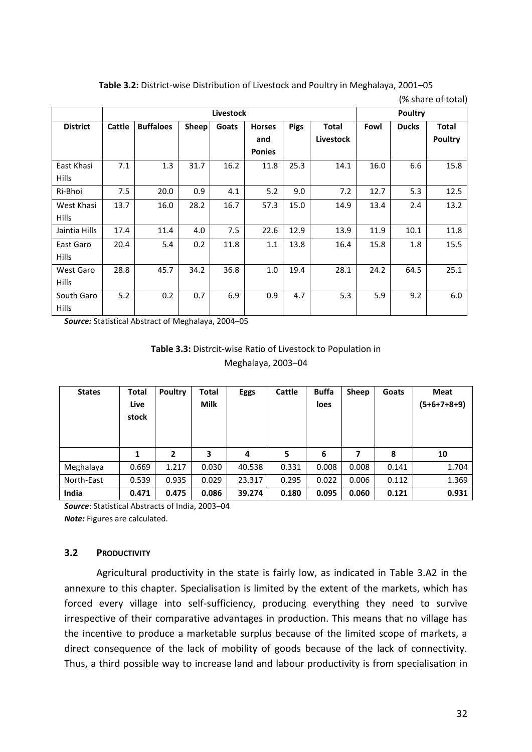**Table 3.2:** District-wise Distribution of Livestock and Poultry in Meghalaya, 2001–05

|                 |        |                  | <b>Poultry</b> |       |               |             |              |      |              |                |
|-----------------|--------|------------------|----------------|-------|---------------|-------------|--------------|------|--------------|----------------|
| <b>District</b> | Cattle | <b>Buffaloes</b> | Sheep          | Goats | <b>Horses</b> | <b>Pigs</b> | <b>Total</b> | Fowl | <b>Ducks</b> | <b>Total</b>   |
|                 |        |                  |                |       | and           |             | Livestock    |      |              | <b>Poultry</b> |
|                 |        |                  |                |       | <b>Ponies</b> |             |              |      |              |                |
| East Khasi      | 7.1    | 1.3              | 31.7           | 16.2  | 11.8          | 25.3        | 14.1         | 16.0 | 6.6          | 15.8           |
| <b>Hills</b>    |        |                  |                |       |               |             |              |      |              |                |
| Ri-Bhoi         | 7.5    | 20.0             | 0.9            | 4.1   | 5.2           | 9.0         | 7.2          | 12.7 | 5.3          | 12.5           |
| West Khasi      | 13.7   | 16.0             | 28.2           | 16.7  | 57.3          | 15.0        | 14.9         | 13.4 | 2.4          | 13.2           |
| <b>Hills</b>    |        |                  |                |       |               |             |              |      |              |                |
| Jaintia Hills   | 17.4   | 11.4             | 4.0            | 7.5   | 22.6          | 12.9        | 13.9         | 11.9 | 10.1         | 11.8           |
| East Garo       | 20.4   | 5.4              | 0.2            | 11.8  | 1.1           | 13.8        | 16.4         | 15.8 | 1.8          | 15.5           |
| <b>Hills</b>    |        |                  |                |       |               |             |              |      |              |                |
| West Garo       | 28.8   | 45.7             | 34.2           | 36.8  | 1.0           | 19.4        | 28.1         | 24.2 | 64.5         | 25.1           |
| <b>Hills</b>    |        |                  |                |       |               |             |              |      |              |                |
| South Garo      | 5.2    | 0.2              | 0.7            | 6.9   | 0.9           | 4.7         | 5.3          | 5.9  | 9.2          | 6.0            |
| <b>Hills</b>    |        |                  |                |       |               |             |              |      |              |                |

(% share of total)

*Source:* Statistical Abstract of Meghalaya, 2004–05

| <b>Table 3.3:</b> Distrcit-wise Ratio of Livestock to Population in |  |  |  |  |  |  |  |
|---------------------------------------------------------------------|--|--|--|--|--|--|--|
| Meghalaya, 2003-04                                                  |  |  |  |  |  |  |  |
|                                                                     |  |  |  |  |  |  |  |

| <b>States</b> | Total<br>Live<br>stock | <b>Poultry</b> | Total<br><b>Milk</b> | <b>Eggs</b> | Cattle | <b>Buffa</b><br>loes | Sheep | Goats | Meat<br>(5+6+7+8+9) |
|---------------|------------------------|----------------|----------------------|-------------|--------|----------------------|-------|-------|---------------------|
|               | 1                      | $\overline{2}$ | 3                    | 4           | 5      | 6                    | 7     | 8     | 10                  |
| Meghalaya     | 0.669                  | 1.217          | 0.030                | 40.538      | 0.331  | 0.008                | 0.008 | 0.141 | 1.704               |
| North-East    | 0.539                  | 0.935          | 0.029                | 23.317      | 0.295  | 0.022                | 0.006 | 0.112 | 1.369               |
| India         | 0.471                  | 0.475          | 0.086                | 39.274      | 0.180  | 0.095                | 0.060 | 0.121 | 0.931               |

*Source*: Statistical Abstracts of India, 2003–04 *Note:* Figures are calculated.

## **3.2 PRODUCTIVITY**

Agricultural productivity in the state is fairly low, as indicated in Table 3.A2 in the annexure to this chapter. Specialisation is limited by the extent of the markets, which has forced every village into self-sufficiency, producing everything they need to survive irrespective of their comparative advantages in production. This means that no village has the incentive to produce a marketable surplus because of the limited scope of markets, a direct consequence of the lack of mobility of goods because of the lack of connectivity. Thus, a third possible way to increase land and labour productivity is from specialisation in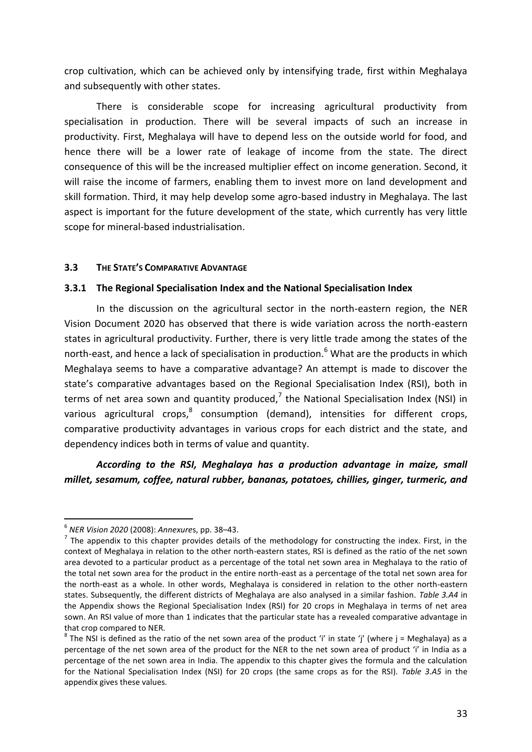crop cultivation, which can be achieved only by intensifying trade, first within Meghalaya and subsequently with other states.

There is considerable scope for increasing agricultural productivity from specialisation in production. There will be several impacts of such an increase in productivity. First, Meghalaya will have to depend less on the outside world for food, and hence there will be a lower rate of leakage of income from the state. The direct consequence of this will be the increased multiplier effect on income generation. Second, it will raise the income of farmers, enabling them to invest more on land development and skill formation. Third, it may help develop some agro-based industry in Meghalaya. The last aspect is important for the future development of the state, which currently has very little scope for mineral-based industrialisation.

### **3.3 THE STATE'S COMPARATIVE ADVANTAGE**

### **3.3.1 The Regional Specialisation Index and the National Specialisation Index**

In the discussion on the agricultural sector in the north-eastern region, the NER Vision Document 2020 has observed that there is wide variation across the north-eastern states in agricultural productivity. Further, there is very little trade among the states of the north-east, and hence a lack of specialisation in production.<sup>6</sup> What are the products in which Meghalaya seems to have a comparative advantage? An attempt is made to discover the state's comparative advantages based on the Regional Specialisation Index (RSI), both in terms of net area sown and quantity produced,<sup>7</sup> the National Specialisation Index (NSI) in various agricultural crops,<sup>8</sup> consumption (demand), intensities for different crops, comparative productivity advantages in various crops for each district and the state, and dependency indices both in terms of value and quantity.

*According to the RSI, Meghalaya has a production advantage in maize, small millet, sesamum, coffee, natural rubber, bananas, potatoes, chillies, ginger, turmeric, and* 

 6 *NER Vision 2020* (2008): *Annexure*s, pp. 38–43.

 $<sup>7</sup>$  The appendix to this chapter provides details of the methodology for constructing the index. First, in the</sup> context of Meghalaya in relation to the other north-eastern states, RSI is defined as the ratio of the net sown area devoted to a particular product as a percentage of the total net sown area in Meghalaya to the ratio of the total net sown area for the product in the entire north-east as a percentage of the total net sown area for the north-east as a whole. In other words, Meghalaya is considered in relation to the other north-eastern states. Subsequently, the different districts of Meghalaya are also analysed in a similar fashion. *Table 3.A4* in the Appendix shows the Regional Specialisation Index (RSI) for 20 crops in Meghalaya in terms of net area sown. An RSI value of more than 1 indicates that the particular state has a revealed comparative advantage in that crop compared to NER.

 $^8$  The NSI is defined as the ratio of the net sown area of the product 'i' in state 'j' (where j = Meghalaya) as a percentage of the net sown area of the product for the NER to the net sown area of product 'i' in India as a percentage of the net sown area in India. The appendix to this chapter gives the formula and the calculation for the National Specialisation Index (NSI) for 20 crops (the same crops as for the RSI). *Table 3.A5* in the appendix gives these values.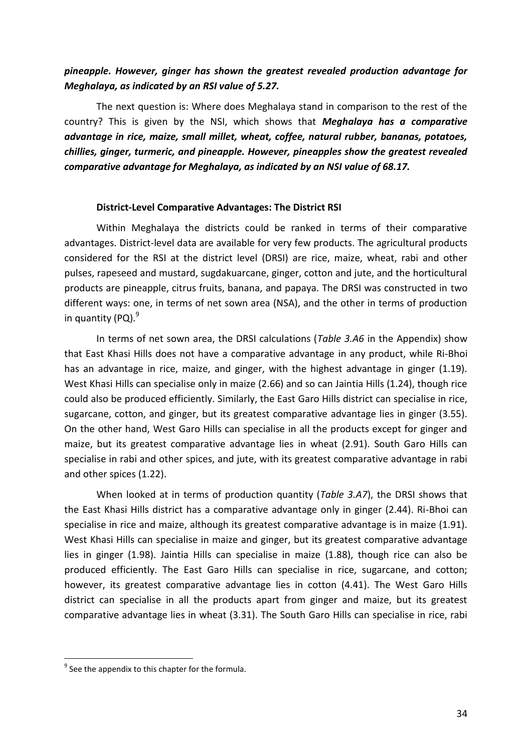# *pineapple. However, ginger has shown the greatest revealed production advantage for Meghalaya, as indicated by an RSI value of 5.27.*

The next question is: Where does Meghalaya stand in comparison to the rest of the country? This is given by the NSI, which shows that *Meghalaya has a comparative advantage in rice, maize, small millet, wheat, coffee, natural rubber, bananas, potatoes, chillies, ginger, turmeric, and pineapple. However, pineapples show the greatest revealed comparative advantage for Meghalaya, as indicated by an NSI value of 68.17.*

### **District-Level Comparative Advantages: The District RSI**

Within Meghalaya the districts could be ranked in terms of their comparative advantages. District-level data are available for very few products. The agricultural products considered for the RSI at the district level (DRSI) are rice, maize, wheat, rabi and other pulses, rapeseed and mustard, sugdakuarcane, ginger, cotton and jute, and the horticultural products are pineapple, citrus fruits, banana, and papaya. The DRSI was constructed in two different ways: one, in terms of net sown area (NSA), and the other in terms of production in quantity  $(PO)$ .<sup>9</sup>

In terms of net sown area, the DRSI calculations (*Table 3.A6* in the Appendix) show that East Khasi Hills does not have a comparative advantage in any product, while Ri-Bhoi has an advantage in rice, maize, and ginger, with the highest advantage in ginger (1.19). West Khasi Hills can specialise only in maize (2.66) and so can Jaintia Hills (1.24), though rice could also be produced efficiently. Similarly, the East Garo Hills district can specialise in rice, sugarcane, cotton, and ginger, but its greatest comparative advantage lies in ginger (3.55). On the other hand, West Garo Hills can specialise in all the products except for ginger and maize, but its greatest comparative advantage lies in wheat (2.91). South Garo Hills can specialise in rabi and other spices, and jute, with its greatest comparative advantage in rabi and other spices (1.22).

When looked at in terms of production quantity (*Table 3.A7*), the DRSI shows that the East Khasi Hills district has a comparative advantage only in ginger (2.44). Ri-Bhoi can specialise in rice and maize, although its greatest comparative advantage is in maize (1.91). West Khasi Hills can specialise in maize and ginger, but its greatest comparative advantage lies in ginger (1.98). Jaintia Hills can specialise in maize (1.88), though rice can also be produced efficiently. The East Garo Hills can specialise in rice, sugarcane, and cotton; however, its greatest comparative advantage lies in cotton (4.41). The West Garo Hills district can specialise in all the products apart from ginger and maize, but its greatest comparative advantage lies in wheat (3.31). The South Garo Hills can specialise in rice, rabi

<u>.</u>

 $<sup>9</sup>$  See the appendix to this chapter for the formula.</sup>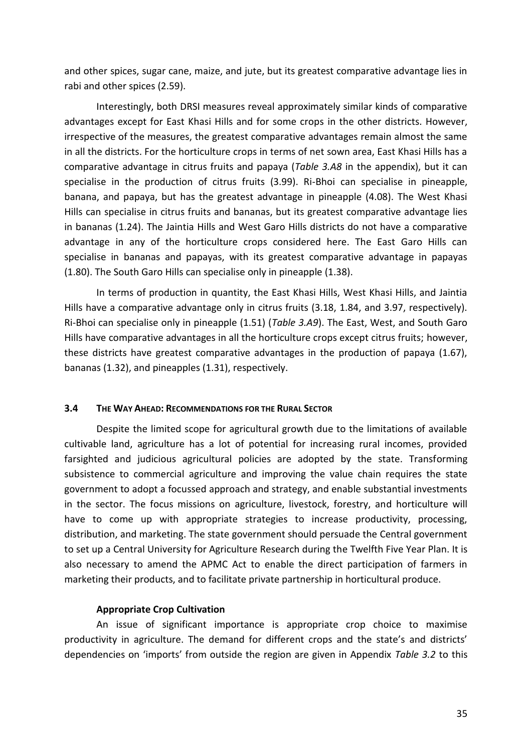and other spices, sugar cane, maize, and jute, but its greatest comparative advantage lies in rabi and other spices (2.59).

Interestingly, both DRSI measures reveal approximately similar kinds of comparative advantages except for East Khasi Hills and for some crops in the other districts. However, irrespective of the measures, the greatest comparative advantages remain almost the same in all the districts. For the horticulture crops in terms of net sown area, East Khasi Hills has a comparative advantage in citrus fruits and papaya (*Table 3.A8* in the appendix), but it can specialise in the production of citrus fruits (3.99). Ri-Bhoi can specialise in pineapple, banana, and papaya, but has the greatest advantage in pineapple (4.08). The West Khasi Hills can specialise in citrus fruits and bananas, but its greatest comparative advantage lies in bananas (1.24). The Jaintia Hills and West Garo Hills districts do not have a comparative advantage in any of the horticulture crops considered here. The East Garo Hills can specialise in bananas and papayas, with its greatest comparative advantage in papayas (1.80). The South Garo Hills can specialise only in pineapple (1.38).

In terms of production in quantity, the East Khasi Hills, West Khasi Hills, and Jaintia Hills have a comparative advantage only in citrus fruits (3.18, 1.84, and 3.97, respectively). Ri-Bhoi can specialise only in pineapple (1.51) (*Table 3.A9*). The East, West, and South Garo Hills have comparative advantages in all the horticulture crops except citrus fruits; however, these districts have greatest comparative advantages in the production of papaya (1.67), bananas (1.32), and pineapples (1.31), respectively.

### **3.4 THE WAY AHEAD: RECOMMENDATIONS FOR THE RURAL SECTOR**

Despite the limited scope for agricultural growth due to the limitations of available cultivable land, agriculture has a lot of potential for increasing rural incomes, provided farsighted and judicious agricultural policies are adopted by the state. Transforming subsistence to commercial agriculture and improving the value chain requires the state government to adopt a focussed approach and strategy, and enable substantial investments in the sector. The focus missions on agriculture, livestock, forestry, and horticulture will have to come up with appropriate strategies to increase productivity, processing, distribution, and marketing. The state government should persuade the Central government to set up a Central University for Agriculture Research during the Twelfth Five Year Plan. It is also necessary to amend the APMC Act to enable the direct participation of farmers in marketing their products, and to facilitate private partnership in horticultural produce.

#### **Appropriate Crop Cultivation**

An issue of significant importance is appropriate crop choice to maximise productivity in agriculture. The demand for different crops and the state's and districts' dependencies on 'imports' from outside the region are given in Appendix *Table 3.2* to this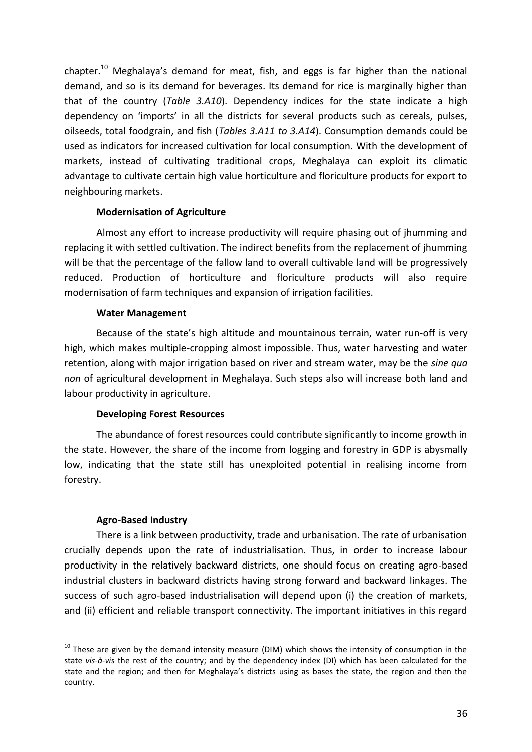chapter.<sup>10</sup> Meghalaya's demand for meat, fish, and eggs is far higher than the national demand, and so is its demand for beverages. Its demand for rice is marginally higher than that of the country (*Table 3.A10*). Dependency indices for the state indicate a high dependency on 'imports' in all the districts for several products such as cereals, pulses, oilseeds, total foodgrain, and fish (*Tables 3.A11 to 3.A14*). Consumption demands could be used as indicators for increased cultivation for local consumption. With the development of markets, instead of cultivating traditional crops, Meghalaya can exploit its climatic advantage to cultivate certain high value horticulture and floriculture products for export to neighbouring markets.

### **Modernisation of Agriculture**

Almost any effort to increase productivity will require phasing out of jhumming and replacing it with settled cultivation. The indirect benefits from the replacement of jhumming will be that the percentage of the fallow land to overall cultivable land will be progressively reduced. Production of horticulture and floriculture products will also require modernisation of farm techniques and expansion of irrigation facilities.

### **Water Management**

Because of the state's high altitude and mountainous terrain, water run-off is very high, which makes multiple-cropping almost impossible. Thus, water harvesting and water retention, along with major irrigation based on river and stream water, may be the *sine qua non* of agricultural development in Meghalaya. Such steps also will increase both land and labour productivity in agriculture.

### **Developing Forest Resources**

The abundance of forest resources could contribute significantly to income growth in the state. However, the share of the income from logging and forestry in GDP is abysmally low, indicating that the state still has unexploited potential in realising income from forestry.

#### **Agro-Based Industry**

<u>.</u>

There is a link between productivity, trade and urbanisation. The rate of urbanisation crucially depends upon the rate of industrialisation. Thus, in order to increase labour productivity in the relatively backward districts, one should focus on creating agro-based industrial clusters in backward districts having strong forward and backward linkages. The success of such agro-based industrialisation will depend upon (i) the creation of markets, and (ii) efficient and reliable transport connectivity. The important initiatives in this regard

 $10$  These are given by the demand intensity measure (DIM) which shows the intensity of consumption in the state *vis-à-vis* the rest of the country; and by the dependency index (DI) which has been calculated for the state and the region; and then for Meghalaya's districts using as bases the state, the region and then the country.